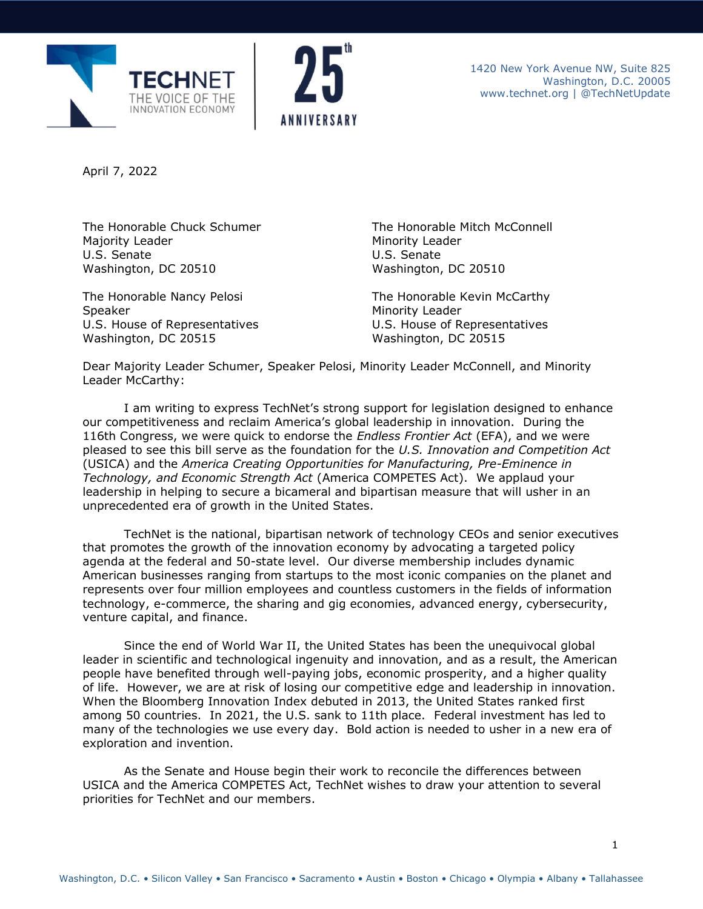



April 7, 2022

Majority Leader U.S. Senate Washington, DC 20510

The Honorable Nancy Pelosi Speaker U.S. House of Representatives Washington, DC 20515

The Honorable Chuck Schumer The Honorable Mitch McConnell Minority Leader U.S. Senate Washington, DC 20510

> The Honorable Kevin McCarthy Minority Leader U.S. House of Representatives Washington, DC 20515

Dear Majority Leader Schumer, Speaker Pelosi, Minority Leader McConnell, and Minority Leader McCarthy:

I am writing to express TechNet's strong support for legislation designed to enhance our competitiveness and reclaim America's global leadership in innovation. During the 116th Congress, we were quick to endorse the *Endless Frontier Act* (EFA), and we were pleased to see this bill serve as the foundation for the *U.S. Innovation and Competition Act* (USICA) and the *America Creating Opportunities for Manufacturing, Pre-Eminence in Technology, and Economic Strength Act* (America COMPETES Act). We applaud your leadership in helping to secure a bicameral and bipartisan measure that will usher in an unprecedented era of growth in the United States.

TechNet is the national, bipartisan network of technology CEOs and senior executives that promotes the growth of the innovation economy by advocating a targeted policy agenda at the federal and 50-state level. Our divers[e membership](http://technet.org/membership/members) includes dynamic American businesses ranging from startups to the most iconic companies on the planet and represents over four million employees and countless customers in the fields of information technology, e-commerce, the sharing and gig economies, advanced energy, cybersecurity, venture capital, and finance.

Since the end of World War II, the United States has been the unequivocal global leader in scientific and technological ingenuity and innovation, and as a result, the American people have benefited through well-paying jobs, economic prosperity, and a higher quality of life. However, we are at risk of losing our competitive edge and leadership in innovation. When the Bloomberg Innovation Index debuted in 2013, the United States ranked first among 50 countries. In 2021, the U.S. sank to 11th place. Federal investment has led to many of the technologies we use every day. Bold action is needed to usher in a new era of exploration and invention.

As the Senate and House begin their work to reconcile the differences between USICA and the America COMPETES Act, TechNet wishes to draw your attention to several priorities for TechNet and our members.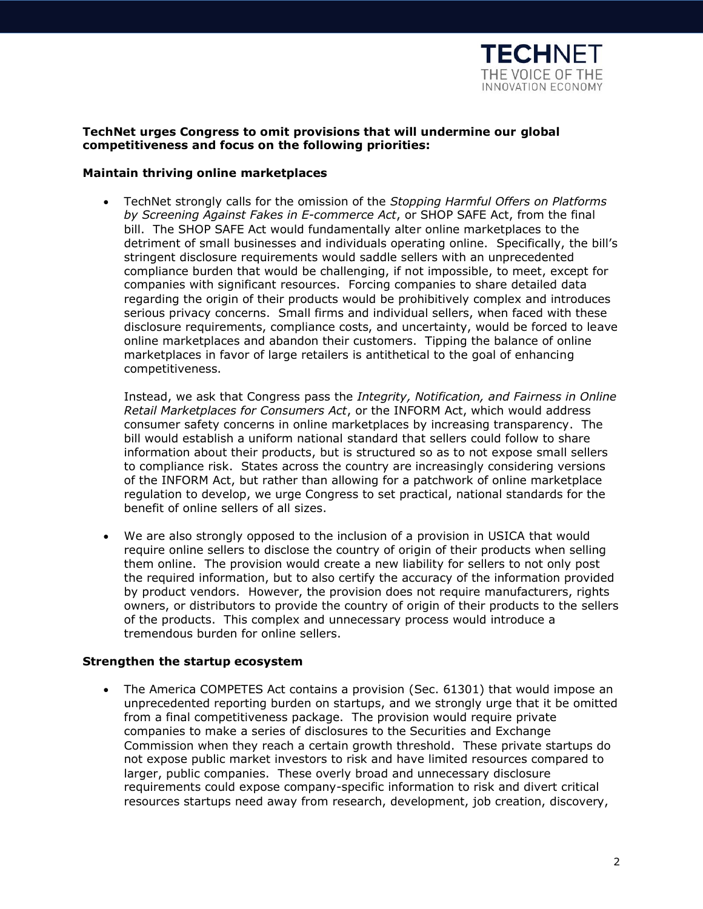

# **TechNet urges Congress to omit provisions that will undermine our global competitiveness and focus on the following priorities:**

# **Maintain thriving online marketplaces**

• TechNet strongly calls for the omission of the *Stopping Harmful Offers on Platforms by Screening Against Fakes in E-commerce Act*, or SHOP SAFE Act, from the final bill. The SHOP SAFE Act would fundamentally alter online marketplaces to the detriment of small businesses and individuals operating online. Specifically, the bill's stringent disclosure requirements would saddle sellers with an unprecedented compliance burden that would be challenging, if not impossible, to meet, except for companies with significant resources. Forcing companies to share detailed data regarding the origin of their products would be prohibitively complex and introduces serious privacy concerns. Small firms and individual sellers, when faced with these disclosure requirements, compliance costs, and uncertainty, would be forced to leave online marketplaces and abandon their customers. Tipping the balance of online marketplaces in favor of large retailers is antithetical to the goal of enhancing competitiveness.

Instead, we ask that Congress pass the *Integrity, Notification, and Fairness in Online Retail Marketplaces for Consumers Act*, or the INFORM Act, which would address consumer safety concerns in online marketplaces by increasing transparency. The bill would establish a uniform national standard that sellers could follow to share information about their products, but is structured so as to not expose small sellers to compliance risk. States across the country are increasingly considering versions of the INFORM Act, but rather than allowing for a patchwork of online marketplace regulation to develop, we urge Congress to set practical, national standards for the benefit of online sellers of all sizes.

• We are also strongly opposed to the inclusion of a provision in USICA that would require online sellers to disclose the country of origin of their products when selling them online. The provision would create a new liability for sellers to not only post the required information, but to also certify the accuracy of the information provided by product vendors. However, the provision does not require manufacturers, rights owners, or distributors to provide the country of origin of their products to the sellers of the products. This complex and unnecessary process would introduce a tremendous burden for online sellers.

# **Strengthen the startup ecosystem**

• The America COMPETES Act contains a provision (Sec. 61301) that would impose an unprecedented reporting burden on startups, and we strongly urge that it be omitted from a final competitiveness package. The provision would require private companies to make a series of disclosures to the Securities and Exchange Commission when they reach a certain growth threshold. These private startups do not expose public market investors to risk and have limited resources compared to larger, public companies. These overly broad and unnecessary disclosure requirements could expose company-specific information to risk and divert critical resources startups need away from research, development, job creation, discovery,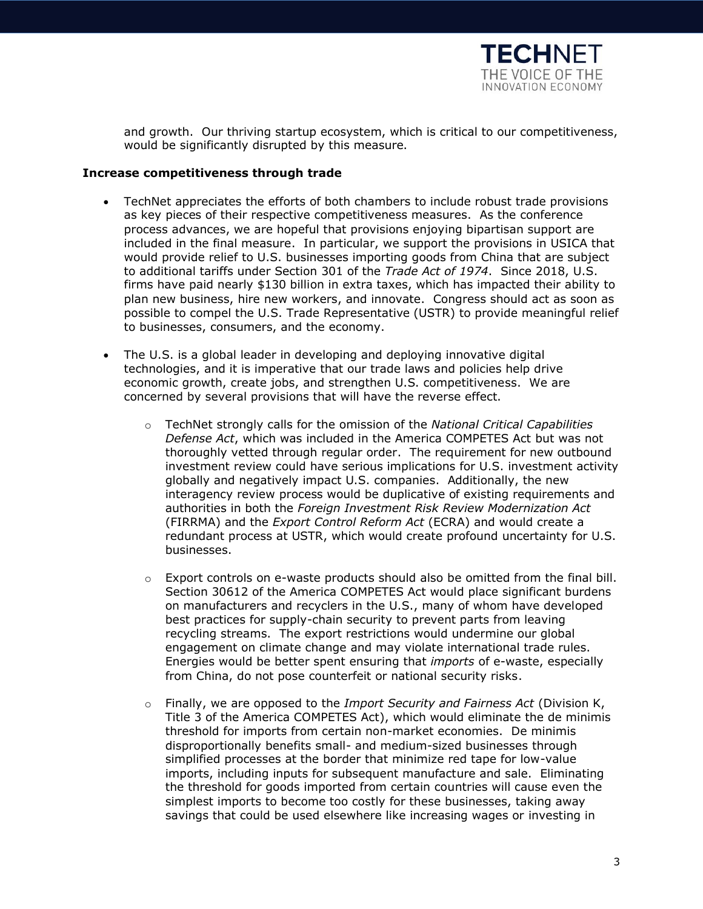

and growth. Our thriving startup ecosystem, which is critical to our competitiveness, would be significantly disrupted by this measure.

### **Increase competitiveness through trade**

- TechNet appreciates the efforts of both chambers to include robust trade provisions as key pieces of their respective competitiveness measures. As the conference process advances, we are hopeful that provisions enjoying bipartisan support are included in the final measure. In particular, we support the provisions in USICA that would provide relief to U.S. businesses importing goods from China that are subject to additional tariffs under Section 301 of the *Trade Act of 1974*. Since 2018, U.S. firms have paid nearly \$130 billion in extra taxes, which has impacted their ability to plan new business, hire new workers, and innovate. Congress should act as soon as possible to compel the U.S. Trade Representative (USTR) to provide meaningful relief to businesses, consumers, and the economy.
- The U.S. is a global leader in developing and deploying innovative digital technologies, and it is imperative that our trade laws and policies help drive economic growth, create jobs, and strengthen U.S. competitiveness. We are concerned by several provisions that will have the reverse effect.
	- o TechNet strongly calls for the omission of the *National Critical Capabilities Defense Act*, which was included in the America COMPETES Act but was not thoroughly vetted through regular order. The requirement for new outbound investment review could have serious implications for U.S. investment activity globally and negatively impact U.S. companies. Additionally, the new interagency review process would be duplicative of existing requirements and authorities in both the *Foreign Investment Risk Review Modernization Act* (FIRRMA) and the *Export Control Reform Act* (ECRA) and would create a redundant process at USTR, which would create profound uncertainty for U.S. businesses.
	- $\circ$  Export controls on e-waste products should also be omitted from the final bill. Section 30612 of the America COMPETES Act would place significant burdens on manufacturers and recyclers in the U.S., many of whom have developed best practices for supply-chain security to prevent parts from leaving recycling streams. The export restrictions would undermine our global engagement on climate change and may violate international trade rules. Energies would be better spent ensuring that *imports* of e-waste, especially from China, do not pose counterfeit or national security risks.
	- o Finally, we are opposed to the *Import Security and Fairness Act* (Division K, Title 3 of the America COMPETES Act), which would eliminate the de minimis threshold for imports from certain non-market economies. De minimis disproportionally benefits small- and medium-sized businesses through simplified processes at the border that minimize red tape for low-value imports, including inputs for subsequent manufacture and sale. Eliminating the threshold for goods imported from certain countries will cause even the simplest imports to become too costly for these businesses, taking away savings that could be used elsewhere like increasing wages or investing in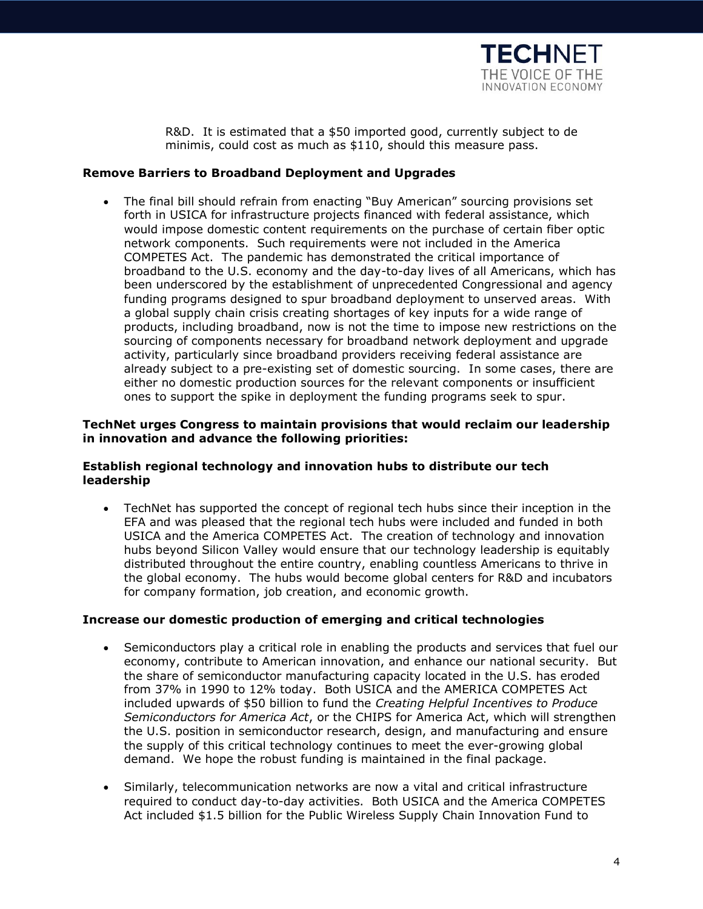

R&D. It is estimated that a \$50 imported good, currently subject to de minimis, could cost as much as \$110, should this measure pass.

# **Remove Barriers to Broadband Deployment and Upgrades**

• The final bill should refrain from enacting "Buy American" sourcing provisions set forth in USICA for infrastructure projects financed with federal assistance, which would impose domestic content requirements on the purchase of certain fiber optic network components. Such requirements were not included in the America COMPETES Act. The pandemic has demonstrated the critical importance of broadband to the U.S. economy and the day-to-day lives of all Americans, which has been underscored by the establishment of unprecedented Congressional and agency funding programs designed to spur broadband deployment to unserved areas. With a global supply chain crisis creating shortages of key inputs for a wide range of products, including broadband, now is not the time to impose new restrictions on the sourcing of components necessary for broadband network deployment and upgrade activity, particularly since broadband providers receiving federal assistance are already subject to a pre-existing set of domestic sourcing. In some cases, there are either no domestic production sources for the relevant components or insufficient ones to support the spike in deployment the funding programs seek to spur.

### **TechNet urges Congress to maintain provisions that would reclaim our leadership in innovation and advance the following priorities:**

# **Establish regional technology and innovation hubs to distribute our tech leadership**

• TechNet has supported the concept of regional tech hubs since their inception in the EFA and was pleased that the regional tech hubs were included and funded in both USICA and the America COMPETES Act. The creation of technology and innovation hubs beyond Silicon Valley would ensure that our technology leadership is equitably distributed throughout the entire country, enabling countless Americans to thrive in the global economy. The hubs would become global centers for R&D and incubators for company formation, job creation, and economic growth.

#### **Increase our domestic production of emerging and critical technologies**

- Semiconductors play a critical role in enabling the products and services that fuel our economy, contribute to American innovation, and enhance our national security. But the share of semiconductor manufacturing capacity located in the U.S. has eroded from 37% in 1990 to 12% today. Both USICA and the AMERICA COMPETES Act included upwards of \$50 billion to fund the *Creating Helpful Incentives to Produce Semiconductors for America Act*, or the CHIPS for America Act, which will strengthen the U.S. position in semiconductor research, design, and manufacturing and ensure the supply of this critical technology continues to meet the ever-growing global demand. We hope the robust funding is maintained in the final package.
- Similarly, telecommunication networks are now a vital and critical infrastructure required to conduct day-to-day activities. Both USICA and the America COMPETES Act included \$1.5 billion for the Public Wireless Supply Chain Innovation Fund to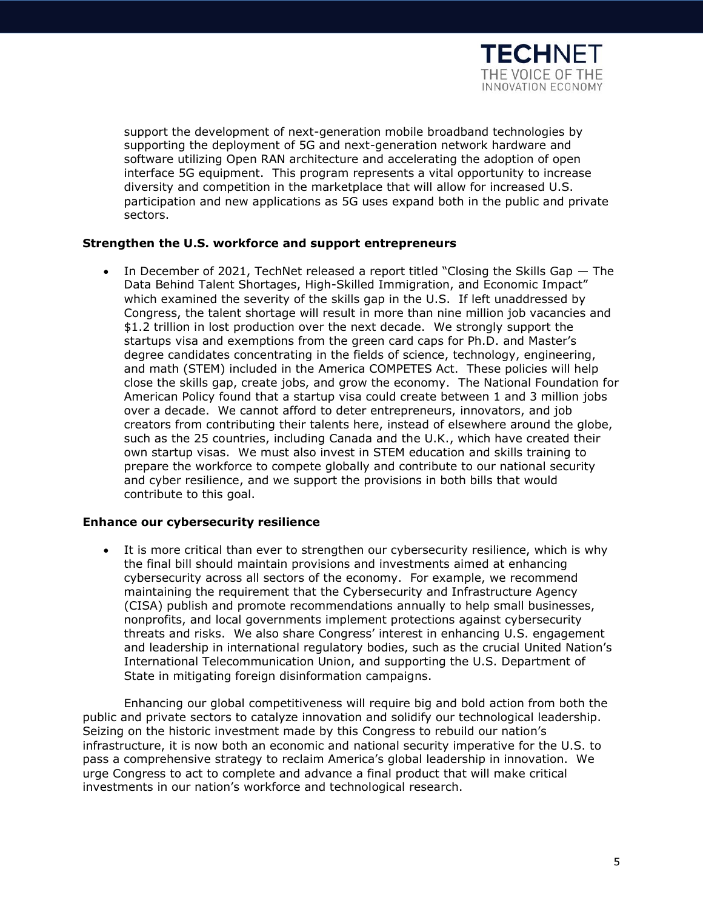

support the development of next-generation mobile broadband technologies by supporting the deployment of 5G and next-generation network hardware and software utilizing Open RAN architecture and accelerating the adoption of open interface 5G equipment. This program represents a vital opportunity to increase diversity and competition in the marketplace that will allow for increased U.S. participation and new applications as 5G uses expand both in the public and private sectors.

# **Strengthen the U.S. workforce and support entrepreneurs**

• In December of 2021, TechNet released a report titled "Closing the Skills Gap — The Data Behind Talent Shortages, High-Skilled Immigration, and Economic Impact" which examined the severity of the skills gap in the U.S. If left unaddressed by Congress, the talent shortage will result in more than nine million job vacancies and \$1.2 trillion in lost production over the next decade. We strongly support the startups visa and exemptions from the green card caps for Ph.D. and Master's degree candidates concentrating in the fields of science, technology, engineering, and math (STEM) included in the America COMPETES Act. These policies will help close the skills gap, create jobs, and grow the economy. The National Foundation for American Policy found that a startup visa could create between 1 and 3 million jobs over a decade. We cannot afford to deter entrepreneurs, innovators, and job creators from contributing their talents here, instead of elsewhere around the globe, such as the 25 countries, including Canada and the U.K., which have created their own startup visas. We must also invest in STEM education and skills training to prepare the workforce to compete globally and contribute to our national security and cyber resilience, and we support the provisions in both bills that would contribute to this goal.

# **Enhance our cybersecurity resilience**

It is more critical than ever to strengthen our cybersecurity resilience, which is why the final bill should maintain provisions and investments aimed at enhancing cybersecurity across all sectors of the economy. For example, we recommend maintaining the requirement that the Cybersecurity and Infrastructure Agency (CISA) publish and promote recommendations annually to help small businesses, nonprofits, and local governments implement protections against cybersecurity threats and risks. We also share Congress' interest in enhancing U.S. engagement and leadership in international regulatory bodies, such as the crucial United Nation's International Telecommunication Union, and supporting the U.S. Department of State in mitigating foreign disinformation campaigns.

Enhancing our global competitiveness will require big and bold action from both the public and private sectors to catalyze innovation and solidify our technological leadership. Seizing on the historic investment made by this Congress to rebuild our nation's infrastructure, it is now both an economic and national security imperative for the U.S. to pass a comprehensive strategy to reclaim America's global leadership in innovation. We urge Congress to act to complete and advance a final product that will make critical investments in our nation's workforce and technological research.